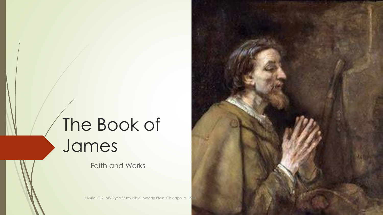# The Book of James

Faith and Works

1 Ryrie, C.R. NIV Ryrie Study Bible. Moody Press. Chicago. p. 19

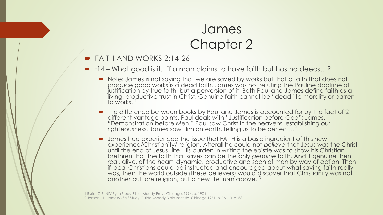- **FAITH AND WORKS 2:14-26** 
	- :14 What good is it…if a man claims to have faith but has no deeds…?
		- Note: James is not saying that we are saved by works but that a faith that does not produce good works is a dead faith. James was not refuting the Pauline doctrine of justification by true faith, but a perversion of it. Both Paul and James define faith as a living, productive trust in Christ. Genuine faith cannot be "dead" to morality or barren to works.
		- The difference between books by Paul and James is accounted for by the fact of 2 different vantage points. Paul deals with "Justification before God"; James, "Demonstration before Men." Paul saw Christ in the heavens, establishing our righteousness. James saw Him on earth, telling us to be perfect…<sup>2</sup>
		- James had experienced the issue that FAITH is a basic ingredient of this new experience/Christianity/ religion. Afterall he could not *believe* that Jesus was the Christ until the end of Jesus' life. His burden in writing the epistle was to show his Christian brethren that the faith that saves can be the only *genuine* faith. And if genuine then real, alive, of the heart, dynamic, productive and seen of men by way of action. Then if local Christians could be instructed and encouraged about what saving faith really was, then the world outside (these believers) would discover that Christianity was not another cult ore religion, but a new life from above.  $3$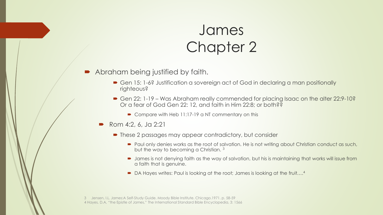- Abraham being justified by faith.
	- Gen 15: 1-6? Justification a sovereign act of God in declaring a man positionally righteous?
	- Gen 22: 1-19 Was Abraham really commended for placing Isaac on the alter 22:9-10? Or a fear of God Gen 22: 12, and faith in Him 22:8; or both??
		- Compare with Heb 11:17-19 a NT commentary on this
	- Rom 4:2, 6, Ja 2:21
		- These 2 passages may appear contradictory, but consider
			- Paul only denies works as the root of salvation. He is not writing about Christian conduct as such, but the way to becoming a Christian. <sup>3</sup>
			- **Domes is not denying faith as the way of salvation, but his is maintaining that works will issue from** a faith that is genuine.
			- DA Hayes writes: Paul is looking at the root; James is looking at the fruit....<sup>4</sup>

3 Jensen, I.L. James:A Self-Study Guide. Moody Bible Institute. Chicago.1971. p. 58-59 4 Hayes, D.A, "the Epistle of James," The International Standard Bible Encyclopedia, 3: 1566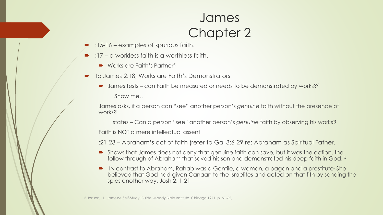- :15-16 examples of spurious faith.
- :17 a workless faith is a worthless faith.
	- Works are Faith's Partner<sup>5</sup>
- To James 2:18, Works are Faith's Demonstrators
	- James tests can Faith be measured or needs to be demonstrated by works?<sup>6</sup> Show me…

James asks, if a person can "see" another person's *genuine* faith without the presence of works?

states – Can a person "see" another person's *genuine* faith by observing his works? Faith is NOT a mere intellectual assent

:21-23 – Abraham's act of faith (refer to Gal 3:6-29 re: Abraham as Spiritual Father.

- Shows that James does not deny that genuine faith can save, but it was the action, the follow through of Abraham that saved his son and demonstrated his deep faith in God. <sup>5</sup>
- IN contrast to Abraham, Rahab was a Gentile, a woman, a pagan and a prostitute She believed that God had given Canaan to the Israelites and acted on that fith by sending the spies another way. Josh 2: 1-21

5 Jensen, I.L. James:A Self-Study Guide. Moody Bible Institute. Chicago.1971. p. 61-62,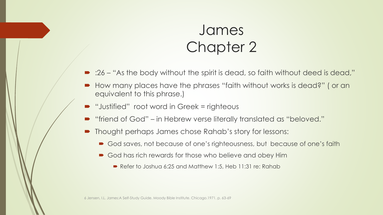- :26 "As the body without the spirit is dead, so faith without deed is dead,"
- How many places have the phrases "faith without works is dead?" ( or an equivalent to this phrase.)
- "Justified" root word in Greek = righteous
- "friend of God" in Hebrew verse literally translated as "beloved."
- Thought perhaps James chose Rahab's story for lessons:
	- God saves, not because of one's righteousness, but because of one's faith
	- God has rich rewards for those who believe and obey Him
		- Refer to Joshua 6:25 and Matthew 1:5, Heb 11:31 re: Rahab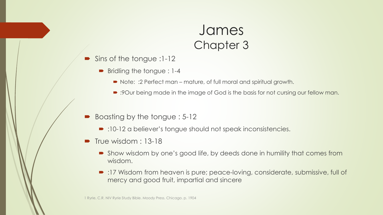- Sins of the tongue :1-12
	- Bridling the tongue : 1-4
		- Note: :2 Perfect man mature, of full moral and spiritual growth.
		- :9Our being made in the image of God is the basis for not cursing our fellow man.
- Boasting by the tongue : 5-12
	- :10-12 a believer's tongue should not speak inconsistencies.
- $\blacksquare$  True wisdom : 13-18
	- Show wisdom by one's good life, by deeds done in humility that comes from wisdom.
	- :17 Wisdom from heaven is pure; peace-loving, considerate, submissive, full of mercy and good fruit, impartial and sincere